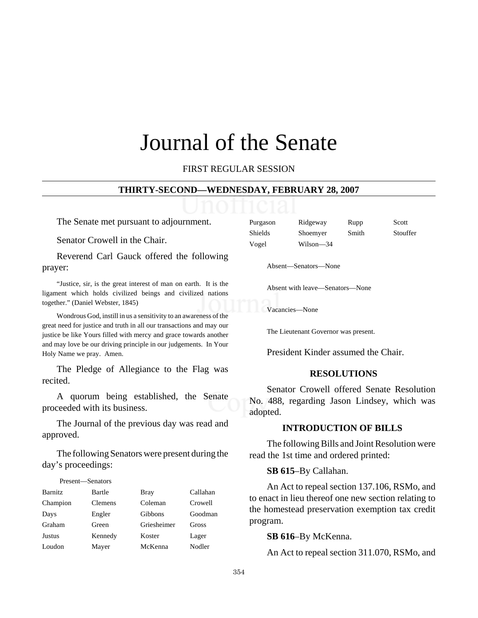# Journal of the Senate

FIRST REGULAR SESSION

#### **THIRTY-SECOND—WEDNESDAY, FEBRUARY 28, 2007**

The Senate met pursuant to adjournment.

Senator Crowell in the Chair.

Reverend Carl Gauck offered the following prayer:

"Justice, sir, is the great interest of man on earth. It is the ligament which holds civilized beings and civilized nations together." (Daniel Webster, 1845)

Wondrous God, instill in us a sensitivity to an awareness of the great need for justice and truth in all our transactions and may our justice be like Yours filled with mercy and grace towards another and may love be our driving principle in our judgements. In Your Holy Name we pray. Amen.

The Pledge of Allegiance to the Flag was recited.

A quorum being established, the Senate proceeded with its business.

The Journal of the previous day was read and approved.

The following Senators were present during the day's proceedings:

# Present—Senators Barnitz Bartle Bray Callahan Champion Clemens Coleman Crowell Days Engler Gibbons Goodman Graham Green Griesheimer Gross Justus Kennedy Koster Lager Loudon Mayer McKenna Nodler

| Purgason | Ridgeway  | Rupp  | Scott    |
|----------|-----------|-------|----------|
| Shields  | Shoemyer  | Smith | Stouffer |
| Vogel    | Wilson-34 |       |          |

Absent—Senators—None

Absent with leave—Senators—None

Vacancies—None

The Lieutenant Governor was present.

President Kinder assumed the Chair.

#### **RESOLUTIONS**

Senator Crowell offered Senate Resolution No. 488, regarding Jason Lindsey, which was adopted.

#### **INTRODUCTION OF BILLS**

The following Bills and Joint Resolution were read the 1st time and ordered printed:

#### **SB 615**–By Callahan.

An Act to repeal section 137.106, RSMo, and to enact in lieu thereof one new section relating to the homestead preservation exemption tax credit program.

#### **SB 616**–By McKenna.

An Act to repeal section 311.070, RSMo, and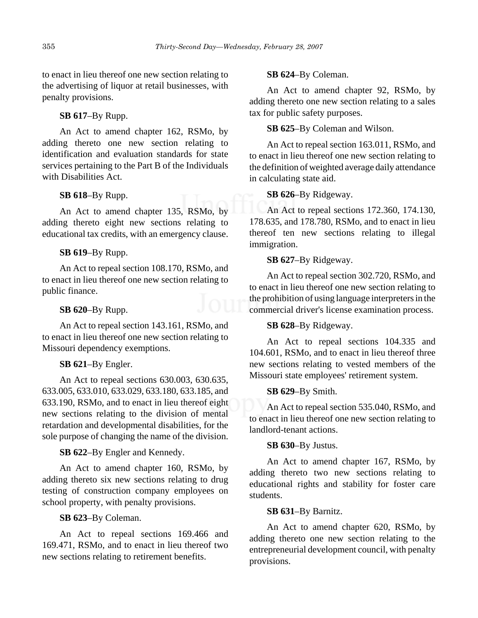to enact in lieu thereof one new section relating to the advertising of liquor at retail businesses, with penalty provisions.

#### **SB 617**–By Rupp.

An Act to amend chapter 162, RSMo, by adding thereto one new section relating to identification and evaluation standards for state services pertaining to the Part B of the Individuals with Disabilities Act.

# **SB 618**–By Rupp.

An Act to amend chapter 135, RSMo, by adding thereto eight new sections relating to educational tax credits, with an emergency clause.

#### **SB 619**–By Rupp.

An Act to repeal section 108.170, RSMo, and to enact in lieu thereof one new section relating to public finance.

#### **SB 620**–By Rupp.

An Act to repeal section 143.161, RSMo, and to enact in lieu thereof one new section relating to Missouri dependency exemptions.

#### **SB 621**–By Engler.

An Act to repeal sections 630.003, 630.635, 633.005, 633.010, 633.029, 633.180, 633.185, and 633.190, RSMo, and to enact in lieu thereof eight new sections relating to the division of mental retardation and developmental disabilities, for the sole purpose of changing the name of the division.

#### **SB 622**–By Engler and Kennedy.

An Act to amend chapter 160, RSMo, by adding thereto six new sections relating to drug testing of construction company employees on school property, with penalty provisions.

# **SB 623**–By Coleman.

An Act to repeal sections 169.466 and 169.471, RSMo, and to enact in lieu thereof two new sections relating to retirement benefits.

#### **SB 624**–By Coleman.

An Act to amend chapter 92, RSMo, by adding thereto one new section relating to a sales tax for public safety purposes.

# **SB 625**–By Coleman and Wilson.

An Act to repeal section 163.011, RSMo, and to enact in lieu thereof one new section relating to the definition of weighted average daily attendance in calculating state aid.

#### **SB 626**–By Ridgeway.

An Act to repeal sections 172.360, 174.130, 178.635, and 178.780, RSMo, and to enact in lieu thereof ten new sections relating to illegal immigration.

#### **SB 627**–By Ridgeway.

An Act to repeal section 302.720, RSMo, and to enact in lieu thereof one new section relating to the prohibition of using language interpreters in the commercial driver's license examination process.

# **SB 628**–By Ridgeway.

An Act to repeal sections 104.335 and 104.601, RSMo, and to enact in lieu thereof three new sections relating to vested members of the Missouri state employees' retirement system.

#### **SB 629**–By Smith.

An Act to repeal section 535.040, RSMo, and to enact in lieu thereof one new section relating to landlord-tenant actions.

#### **SB 630**–By Justus.

An Act to amend chapter 167, RSMo, by adding thereto two new sections relating to educational rights and stability for foster care students.

#### **SB 631**–By Barnitz.

An Act to amend chapter 620, RSMo, by adding thereto one new section relating to the entrepreneurial development council, with penalty provisions.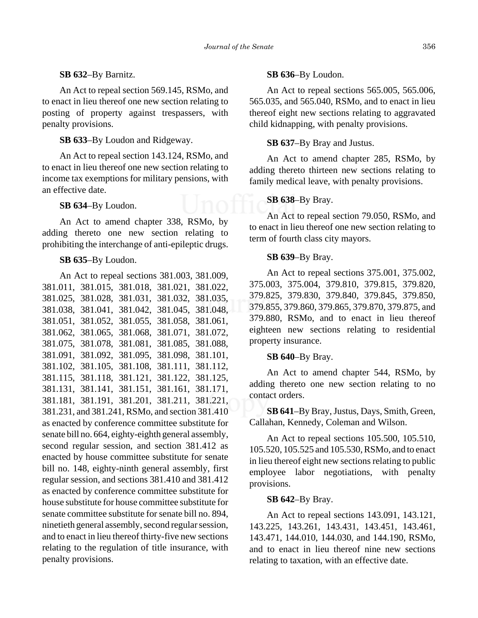#### **SB 632**–By Barnitz.

An Act to repeal section 569.145, RSMo, and to enact in lieu thereof one new section relating to posting of property against trespassers, with penalty provisions.

**SB 633**–By Loudon and Ridgeway.

An Act to repeal section 143.124, RSMo, and to enact in lieu thereof one new section relating to income tax exemptions for military pensions, with an effective date.

#### **SB 634**–By Loudon.

An Act to amend chapter 338, RSMo, by adding thereto one new section relating to prohibiting the interchange of anti-epileptic drugs.

#### **SB 635**–By Loudon.

An Act to repeal sections 381.003, 381.009, 381.011, 381.015, 381.018, 381.021, 381.022, 381.025, 381.028, 381.031, 381.032, 381.035, 381.038, 381.041, 381.042, 381.045, 381.048, 381.051, 381.052, 381.055, 381.058, 381.061, 381.062, 381.065, 381.068, 381.071, 381.072, 381.075, 381.078, 381.081, 381.085, 381.088, 381.091, 381.092, 381.095, 381.098, 381.101, 381.102, 381.105, 381.108, 381.111, 381.112, 381.115, 381.118, 381.121, 381.122, 381.125, 381.131, 381.141, 381.151, 381.161, 381.171, 381.181, 381.191, 381.201, 381.211, 381.221, 381.231, and 381.241, RSMo, and section 381.410 as enacted by conference committee substitute for senate bill no. 664, eighty-eighth general assembly, second regular session, and section 381.412 as enacted by house committee substitute for senate bill no. 148, eighty-ninth general assembly, first regular session, and sections 381.410 and 381.412 as enacted by conference committee substitute for house substitute for house committee substitute for senate committee substitute for senate bill no. 894, ninetieth general assembly, second regular session, and to enact in lieu thereof thirty-five new sections relating to the regulation of title insurance, with penalty provisions.

#### **SB 636**–By Loudon.

An Act to repeal sections 565.005, 565.006, 565.035, and 565.040, RSMo, and to enact in lieu thereof eight new sections relating to aggravated child kidnapping, with penalty provisions.

#### **SB 637**–By Bray and Justus.

An Act to amend chapter 285, RSMo, by adding thereto thirteen new sections relating to family medical leave, with penalty provisions.

#### **SB 638**–By Bray.

An Act to repeal section 79.050, RSMo, and to enact in lieu thereof one new section relating to term of fourth class city mayors.

#### **SB 639**–By Bray.

An Act to repeal sections 375.001, 375.002, 375.003, 375.004, 379.810, 379.815, 379.820, 379.825, 379.830, 379.840, 379.845, 379.850, 379.855, 379.860, 379.865, 379.870, 379.875, and 379.880, RSMo, and to enact in lieu thereof eighteen new sections relating to residential property insurance.

#### **SB 640**–By Bray.

An Act to amend chapter 544, RSMo, by adding thereto one new section relating to no contact orders.

**SB 641**–By Bray, Justus, Days, Smith, Green, Callahan, Kennedy, Coleman and Wilson.

An Act to repeal sections 105.500, 105.510, 105.520, 105.525 and 105.530, RSMo, and to enact in lieu thereof eight new sections relating to public employee labor negotiations, with penalty provisions.

#### **SB 642**–By Bray.

An Act to repeal sections 143.091, 143.121, 143.225, 143.261, 143.431, 143.451, 143.461, 143.471, 144.010, 144.030, and 144.190, RSMo, and to enact in lieu thereof nine new sections relating to taxation, with an effective date.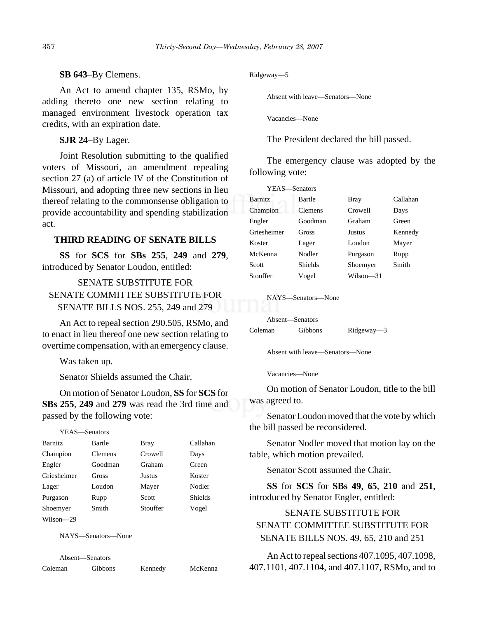#### **SB 643**–By Clemens.

An Act to amend chapter 135, RSMo, by adding thereto one new section relating to managed environment livestock operation tax credits, with an expiration date.

**SJR 24**–By Lager.

Joint Resolution submitting to the qualified voters of Missouri, an amendment repealing section 27 (a) of article IV of the Constitution of Missouri, and adopting three new sections in lieu thereof relating to the commonsense obligation to provide accountability and spending stabilization act.

#### **THIRD READING OF SENATE BILLS**

**SS** for **SCS** for **SBs 255**, **249** and **279**, introduced by Senator Loudon, entitled:

# SENATE SUBSTITUTE FOR SENATE COMMITTEE SUBSTITUTE FOR SENATE BILLS NOS. 255, 249 and 279

An Act to repeal section 290.505, RSMo, and to enact in lieu thereof one new section relating to overtime compensation, with an emergency clause.

Was taken up.

Senator Shields assumed the Chair.

On motion of Senator Loudon, **SS** for **SCS** for **SBs 255**, **249** and **279** was read the 3rd time and passed by the following vote:

YEAS—Senators

| <b>Barnitz</b> | Bartle         | Bray     | Callahan       |
|----------------|----------------|----------|----------------|
| Champion       | <b>Clemens</b> | Crowell  | Days           |
| Engler         | Goodman        | Graham   | Green          |
| Griesheimer    | Gross          | Justus   | Koster         |
| Lager          | Loudon         | Mayer    | Nodler         |
| Purgason       | Rupp           | Scott    | <b>Shields</b> |
| Shoemyer       | Smith          | Stouffer | Vogel          |
| Wilson—29      |                |          |                |

NAYS—Senators—None

Absent—Senators

#### Ridgeway—5

Absent with leave—Senators—None

Vacancies—None

The President declared the bill passed.

The emergency clause was adopted by the following vote:

| YEAS-Senators |                |             |          |
|---------------|----------------|-------------|----------|
| Barnitz       | Bartle         | <b>Bray</b> | Callahan |
| Champion      | <b>Clemens</b> | Crowell     | Days     |
| Engler        | Goodman        | Graham      | Green    |
| Griesheimer   | Gross          | Justus      | Kennedy  |
| Koster        | Lager          | Loudon      | Mayer    |
| McKenna       | Nodler         | Purgason    | Rupp     |
| Scott         | <b>Shields</b> | Shoemyer    | Smith    |
| Stouffer      | Vogel          | Wilson-31   |          |
|               |                |             |          |

NAYS—Senators—None

Absent—Senators

| Coleman | Gibbons | Ridgeway-3 |
|---------|---------|------------|
|         |         |            |

Absent with leave—Senators—None

Vacancies—None

On motion of Senator Loudon, title to the bill was agreed to.

Senator Loudon moved that the vote by which the bill passed be reconsidered.

Senator Nodler moved that motion lay on the table, which motion prevailed.

Senator Scott assumed the Chair.

**SS** for **SCS** for **SBs 49**, **65**, **210** and **251**, introduced by Senator Engler, entitled:

# SENATE SUBSTITUTE FOR SENATE COMMITTEE SUBSTITUTE FOR SENATE BILLS NOS. 49, 65, 210 and 251

An Act to repeal sections 407.1095, 407.1098, 407.1101, 407.1104, and 407.1107, RSMo, and to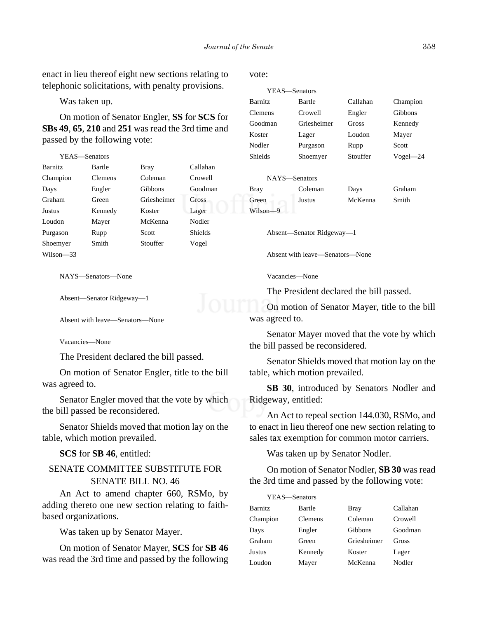enact in lieu thereof eight new sections relating to telephonic solicitations, with penalty provisions.

Was taken up.

 $Y_{\text{H}}$  $\alpha$ 

On motion of Senator Engler, **SS** for **SCS** for **SBs 49**, **65**, **210** and **251** was read the 3rd time and passed by the following vote:

| Y EAS—Senators |                |             |                |
|----------------|----------------|-------------|----------------|
| <b>Barnitz</b> | Bartle         | <b>Bray</b> | Callahan       |
| Champion       | <b>Clemens</b> | Coleman     | Crowell        |
| Days           | Engler         | Gibbons     | Goodman        |
| Graham         | Green          | Griesheimer | <b>Gross</b>   |
| <b>Justus</b>  | Kennedy        | Koster      | Lager          |
| Loudon         | Mayer          | McKenna     | Nodler         |
| Purgason       | Rupp           | Scott       | <b>Shields</b> |
| Shoemyer       | Smith          | Stouffer    | Vogel          |
| Wilson—33      |                |             |                |

NAYS—Senators—None

```
Absent—Senator Ridgeway—1
```
Absent with leave—Senators—None

Vacancies—None

The President declared the bill passed.

On motion of Senator Engler, title to the bill was agreed to.

Senator Engler moved that the vote by which the bill passed be reconsidered.

Senator Shields moved that motion lay on the table, which motion prevailed.

**SCS** for **SB 46**, entitled:

# SENATE COMMITTEE SUBSTITUTE FOR SENATE BILL NO. 46

An Act to amend chapter 660, RSMo, by adding thereto one new section relating to faithbased organizations.

Was taken up by Senator Mayer.

On motion of Senator Mayer, **SCS** for **SB 46** was read the 3rd time and passed by the following vote:

| YEAS—Senators  |             |          |              |
|----------------|-------------|----------|--------------|
| <b>Barnitz</b> | Bartle      | Callahan | Champion     |
| <b>Clemens</b> | Crowell     | Engler   | Gibbons      |
| Goodman        | Griesheimer | Gross    | Kennedy      |
| Koster         | Lager       | Loudon   | Mayer        |
| Nodler         | Purgason    | Rupp     | Scott        |
| <b>Shields</b> | Shoemyer    | Stouffer | $Vogel - 24$ |

|             | NAYS—Senators |         |        |
|-------------|---------------|---------|--------|
| <b>Bray</b> | Coleman       | Days    | Graham |
| Green       | Justus        | McKenna | Smith  |
| Wilson-9    |               |         |        |

Absent—Senator Ridgeway—1

Absent with leave—Senators—None

Vacancies—None

The President declared the bill passed.

On motion of Senator Mayer, title to the bill was agreed to.

Senator Mayer moved that the vote by which the bill passed be reconsidered.

Senator Shields moved that motion lay on the table, which motion prevailed.

**SB 30**, introduced by Senators Nodler and Ridgeway, entitled:

An Act to repeal section 144.030, RSMo, and to enact in lieu thereof one new section relating to sales tax exemption for common motor carriers.

Was taken up by Senator Nodler.

On motion of Senator Nodler, **SB 30** was read the 3rd time and passed by the following vote:

| YEAS-Senators  |         |             |          |
|----------------|---------|-------------|----------|
| <b>Barnitz</b> | Bartle  | <b>Bray</b> | Callahan |
| Champion       | Clemens | Coleman     | Crowell  |
| Days           | Engler  | Gibbons     | Goodman  |
| Graham         | Green   | Griesheimer | Gross    |
| <b>Justus</b>  | Kennedy | Koster      | Lager    |
| Loudon         | Mayer   | McKenna     | Nodler   |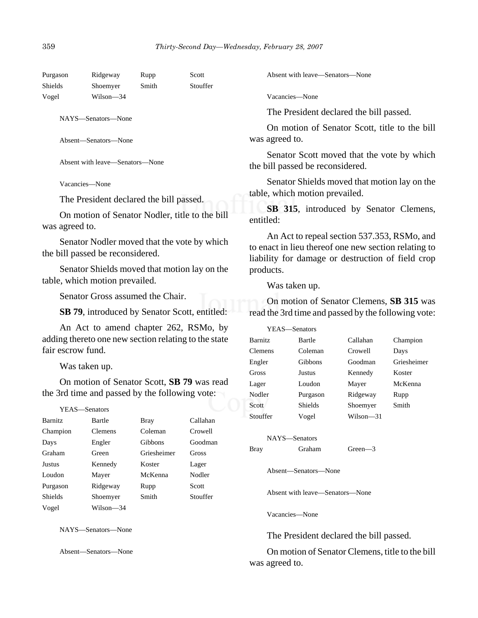| Purgason | Ridgeway  | Rupp  | Scott    |
|----------|-----------|-------|----------|
| Shields  | Shoemyer  | Smith | Stouffer |
| Vogel    | Wilson—34 |       |          |
|          |           |       |          |

NAYS—Senators—None

Absent—Senators—None

Absent with leave—Senators—None

Vacancies—None

The President declared the bill passed.

On motion of Senator Nodler, title to the bill was agreed to.

Senator Nodler moved that the vote by which the bill passed be reconsidered.

Senator Shields moved that motion lay on the table, which motion prevailed.

Senator Gross assumed the Chair.

**SB 79**, introduced by Senator Scott, entitled:

An Act to amend chapter 262, RSMo, by adding thereto one new section relating to the state fair escrow fund.

Was taken up.

On motion of Senator Scott, **SB 79** was read the 3rd time and passed by the following vote:

| YEAS—Senators  |                |             |          |
|----------------|----------------|-------------|----------|
| <b>Barnitz</b> | Bartle         | <b>Bray</b> | Callahan |
| Champion       | <b>Clemens</b> | Coleman     | Crowell  |
| Days           | Engler         | Gibbons     | Goodman  |
| Graham         | Green          | Griesheimer | Gross    |
| Justus         | Kennedy        | Koster      | Lager    |
| Loudon         | Mayer          | McKenna     | Nodler   |
| Purgason       | Ridgeway       | Rupp        | Scott    |
| <b>Shields</b> | Shoemyer       | Smith       | Stouffer |
| Vogel          | Wilson-34      |             |          |

NAYS—Senators—None

Absent—Senators—None

Absent with leave—Senators—None

Vacancies—None

The President declared the bill passed.

On motion of Senator Scott, title to the bill was agreed to.

Senator Scott moved that the vote by which the bill passed be reconsidered.

Senator Shields moved that motion lay on the table, which motion prevailed.

**SB 315**, introduced by Senator Clemens, entitled:

An Act to repeal section 537.353, RSMo, and to enact in lieu thereof one new section relating to liability for damage or destruction of field crop products.

Was taken up.

On motion of Senator Clemens, **SB 315** was read the 3rd time and passed by the following vote:

| YEAS—Senators  |          |           |             |
|----------------|----------|-----------|-------------|
| <b>Barnitz</b> | Bartle   | Callahan  | Champion    |
| <b>Clemens</b> | Coleman  | Crowell   | Days        |
| Engler         | Gibbons  | Goodman   | Griesheimer |
| Gross          | Justus   | Kennedy   | Koster      |
| Lager          | Loudon   | Mayer     | McKenna     |
| Nodler         | Purgason | Ridgeway  | Rupp        |
| Scott          | Shields  | Shoemyer  | Smith       |
| Stouffer       | Vogel    | Wilson-31 |             |
|                |          |           |             |

NAYS—Senators

Bray Graham Green—3

Absent—Senators—None

Absent with leave—Senators—None

Vacancies—None

The President declared the bill passed.

On motion of Senator Clemens, title to the bill was agreed to.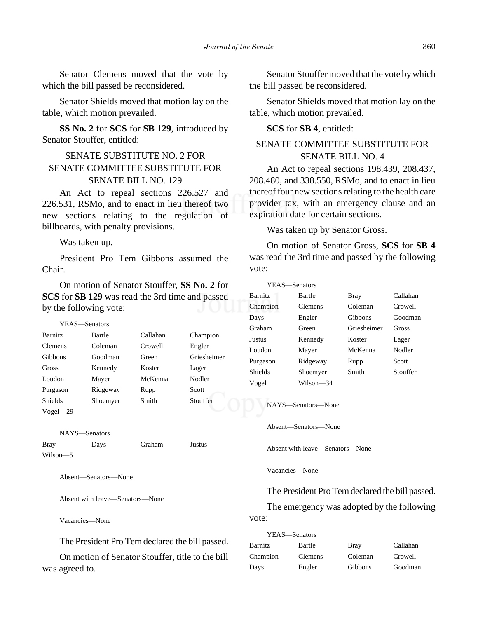Senator Clemens moved that the vote by which the bill passed be reconsidered.

Senator Shields moved that motion lay on the table, which motion prevailed.

**SS No. 2** for **SCS** for **SB 129**, introduced by Senator Stouffer, entitled:

# SENATE SUBSTITUTE NO. 2 FOR SENATE COMMITTEE SUBSTITUTE FOR SENATE BILL NO. 129

An Act to repeal sections 226.527 and 226.531, RSMo, and to enact in lieu thereof two new sections relating to the regulation of billboards, with penalty provisions.

Was taken up.

President Pro Tem Gibbons assumed the Chair.

On motion of Senator Stouffer, **SS No. 2** for **SCS** for **SB 129** was read the 3rd time and passed by the following vote:

```
YEAS—Senators
```

| <b>Barnitz</b> | Bartle   | Callahan | Champion    |
|----------------|----------|----------|-------------|
| <b>Clemens</b> | Coleman  | Crowell  | Engler      |
| <b>Gibbons</b> | Goodman  | Green    | Griesheimer |
| Gross          | Kennedy  | Koster   | Lager       |
| Loudon         | Mayer    | McKenna  | Nodler      |
| Purgason       | Ridgeway | Rupp     | Scott       |
| <b>Shields</b> | Shoemyer | Smith    | Stouffer    |
| $Vogel = 29$   |          |          |             |

NAYS—Senators Bray Days Graham Justus Wilson—5

Absent—Senators—None

Absent with leave—Senators—None

Vacancies—None

The President Pro Tem declared the bill passed.

On motion of Senator Stouffer, title to the bill was agreed to.

Senator Stouffer moved that the vote by which the bill passed be reconsidered.

Senator Shields moved that motion lay on the table, which motion prevailed.

#### **SCS** for **SB 4**, entitled:

# SENATE COMMITTEE SUBSTITUTE FOR SENATE BILL NO. 4

An Act to repeal sections 198.439, 208.437, 208.480, and 338.550, RSMo, and to enact in lieu thereof four new sections relating to the health care provider tax, with an emergency clause and an expiration date for certain sections.

Was taken up by Senator Gross.

On motion of Senator Gross, **SCS** for **SB 4** was read the 3rd time and passed by the following vote:

| YEAS—Senators  |           |             |          |
|----------------|-----------|-------------|----------|
| <b>Barnitz</b> | Bartle    | <b>Bray</b> | Callahan |
| Champion       | Clemens   | Coleman     | Crowell  |
| Days           | Engler    | Gibbons     | Goodman  |
| Graham         | Green     | Griesheimer | Gross    |
| Justus         | Kennedy   | Koster      | Lager    |
| Loudon         | Mayer     | McKenna     | Nodler   |
| Purgason       | Ridgeway  | Rupp        | Scott    |
| Shields        | Shoemyer  | Smith       | Stouffer |
| Vogel          | Wilson—34 |             |          |

NAYS—Senators—None

Absent—Senators—None

Absent with leave—Senators—None

Vacancies—None

The President Pro Tem declared the bill passed.

The emergency was adopted by the following vote:

| YEAS—Senators |         |             |          |
|---------------|---------|-------------|----------|
| Barnitz       | Bartle  | <b>Bray</b> | Callahan |
| Champion      | Clemens | Coleman     | Crowell  |
| Days          | Engler  | Gibbons     | Goodman  |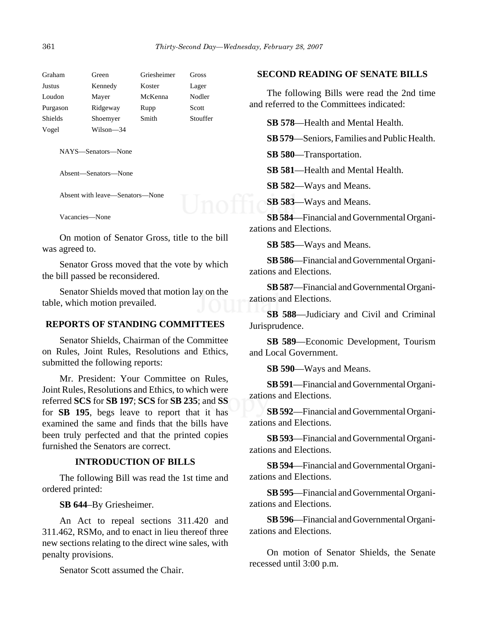| Graham         | Green     | Griesheimer | Gross    |
|----------------|-----------|-------------|----------|
| Justus         | Kennedy   | Koster      | Lager    |
| Loudon         | Mayer     | McKenna     | Nodler   |
| Purgason       | Ridgeway  | Rupp        | Scott    |
| <b>Shields</b> | Shoemyer  | Smith       | Stouffer |
| Vogel          | Wilson—34 |             |          |

NAYS—Senators—None

Absent—Senators—None

Absent with leave—Senators—None

Vacancies—None

On motion of Senator Gross, title to the bill was agreed to.

Senator Gross moved that the vote by which the bill passed be reconsidered.

Senator Shields moved that motion lay on the table, which motion prevailed.

#### **REPORTS OF STANDING COMMITTEES**

Senator Shields, Chairman of the Committee on Rules, Joint Rules, Resolutions and Ethics, submitted the following reports:

Mr. President: Your Committee on Rules, Joint Rules, Resolutions and Ethics, to which were referred **SCS** for **SB 197**; **SCS** for **SB 235**; and **SS** for **SB 195**, begs leave to report that it has examined the same and finds that the bills have been truly perfected and that the printed copies furnished the Senators are correct.

#### **INTRODUCTION OF BILLS**

The following Bill was read the 1st time and ordered printed:

**SB 644**–By Griesheimer.

An Act to repeal sections 311.420 and 311.462, RSMo, and to enact in lieu thereof three new sections relating to the direct wine sales, with penalty provisions.

Senator Scott assumed the Chair.

#### **SECOND READING OF SENATE BILLS**

The following Bills were read the 2nd time and referred to the Committees indicated:

**SB 578**—Health and Mental Health.

**SB 579**—Seniors, Families and Public Health.

**SB 580**—Transportation.

**SB 581**—Health and Mental Health.

**SB 582**—Ways and Means.

**SB 583**—Ways and Means.

**SB 584**—Financial and Governmental Organizations and Elections.

**SB 585**—Ways and Means.

**SB 586**—Financial and Governmental Organizations and Elections.

**SB 587**—Financial and Governmental Organizations and Elections.

**SB 588**—Judiciary and Civil and Criminal Jurisprudence.

**SB 589**—Economic Development, Tourism and Local Government.

**SB 590**—Ways and Means.

**SB 591**—Financial and Governmental Organizations and Elections.

**SB 592**—Financial and Governmental Organizations and Elections.

**SB 593**—Financial and Governmental Organizations and Elections.

**SB 594**—Financial and Governmental Organizations and Elections.

**SB 595**—Financial and Governmental Organizations and Elections.

**SB 596**—Financial and Governmental Organizations and Elections.

On motion of Senator Shields, the Senate recessed until 3:00 p.m.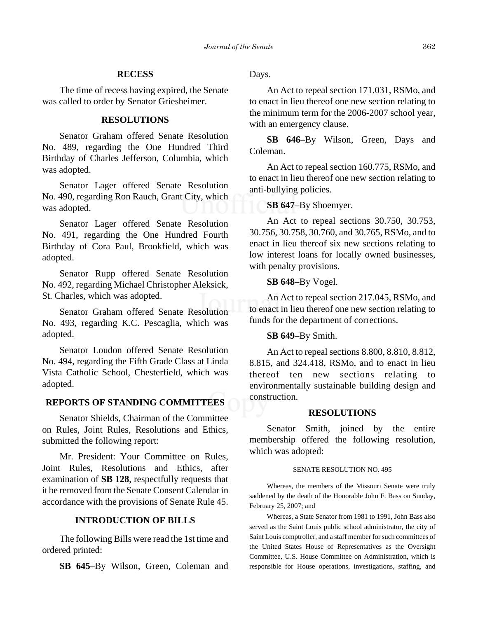#### **RECESS**

The time of recess having expired, the Senate was called to order by Senator Griesheimer.

# **RESOLUTIONS**

Senator Graham offered Senate Resolution No. 489, regarding the One Hundred Third Birthday of Charles Jefferson, Columbia, which was adopted.

Senator Lager offered Senate Resolution No. 490, regarding Ron Rauch, Grant City, which was adopted.

Senator Lager offered Senate Resolution No. 491, regarding the One Hundred Fourth Birthday of Cora Paul, Brookfield, which was adopted.

Senator Rupp offered Senate Resolution No. 492, regarding Michael Christopher Aleksick, St. Charles, which was adopted.

Senator Graham offered Senate Resolution No. 493, regarding K.C. Pescaglia, which was adopted.

Senator Loudon offered Senate Resolution No. 494, regarding the Fifth Grade Class at Linda Vista Catholic School, Chesterfield, which was adopted.

#### **REPORTS OF STANDING COMMITTEES**

Senator Shields, Chairman of the Committee on Rules, Joint Rules, Resolutions and Ethics, submitted the following report:

Mr. President: Your Committee on Rules, Joint Rules, Resolutions and Ethics, after examination of **SB 128**, respectfully requests that it be removed from the Senate Consent Calendar in accordance with the provisions of Senate Rule 45.

# **INTRODUCTION OF BILLS**

The following Bills were read the 1st time and ordered printed:

**SB 645**–By Wilson, Green, Coleman and

Days.

An Act to repeal section 171.031, RSMo, and to enact in lieu thereof one new section relating to the minimum term for the 2006-2007 school year, with an emergency clause.

**SB 646**–By Wilson, Green, Days and Coleman.

An Act to repeal section 160.775, RSMo, and to enact in lieu thereof one new section relating to anti-bullying policies.

#### **SB 647**–By Shoemyer.

An Act to repeal sections 30.750, 30.753, 30.756, 30.758, 30.760, and 30.765, RSMo, and to enact in lieu thereof six new sections relating to low interest loans for locally owned businesses, with penalty provisions.

#### **SB 648**–By Vogel.

An Act to repeal section 217.045, RSMo, and to enact in lieu thereof one new section relating to funds for the department of corrections.

#### **SB 649**–By Smith.

An Act to repeal sections 8.800, 8.810, 8.812, 8.815, and 324.418, RSMo, and to enact in lieu thereof ten new sections relating to environmentally sustainable building design and construction.

#### **RESOLUTIONS**

Senator Smith, joined by the entire membership offered the following resolution, which was adopted:

#### SENATE RESOLUTION NO. 495

Whereas, the members of the Missouri Senate were truly saddened by the death of the Honorable John F. Bass on Sunday, February 25, 2007; and

Whereas, a State Senator from 1981 to 1991, John Bass also served as the Saint Louis public school administrator, the city of Saint Louis comptroller, and a staff member for such committees of the United States House of Representatives as the Oversight Committee, U.S. House Committee on Administration, which is responsible for House operations, investigations, staffing, and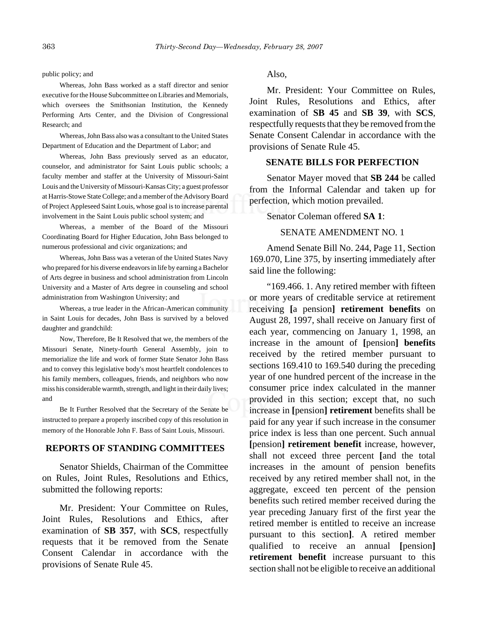#### public policy; and

Whereas, John Bass worked as a staff director and senior executive for the House Subcommittee on Libraries and Memorials, which oversees the Smithsonian Institution, the Kennedy Performing Arts Center, and the Division of Congressional Research; and

Whereas, John Bass also was a consultant to the United States Department of Education and the Department of Labor; and

Whereas, John Bass previously served as an educator, counselor, and administrator for Saint Louis public schools; a faculty member and staffer at the University of Missouri-Saint Louis and the University of Missouri-Kansas City; a guest professor at Harris-Stowe State College; and a member of the Advisory Board of Project Appleseed Saint Louis, whose goal is to increase parental involvement in the Saint Louis public school system; and

Whereas, a member of the Board of the Missouri Coordinating Board for Higher Education, John Bass belonged to numerous professional and civic organizations; and

Whereas, John Bass was a veteran of the United States Navy who prepared for his diverse endeavors in life by earning a Bachelor of Arts degree in business and school administration from Lincoln University and a Master of Arts degree in counseling and school administration from Washington University; and

Whereas, a true leader in the African-American community in Saint Louis for decades, John Bass is survived by a beloved daughter and grandchild:

Now, Therefore, Be It Resolved that we, the members of the Missouri Senate, Ninety-fourth General Assembly, join to memorialize the life and work of former State Senator John Bass and to convey this legislative body's most heartfelt condolences to his family members, colleagues, friends, and neighbors who now miss his considerable warmth, strength, and light in their daily lives; and

Be It Further Resolved that the Secretary of the Senate be instructed to prepare a properly inscribed copy of this resolution in memory of the Honorable John F. Bass of Saint Louis, Missouri.

#### **REPORTS OF STANDING COMMITTEES**

Senator Shields, Chairman of the Committee on Rules, Joint Rules, Resolutions and Ethics, submitted the following reports:

Mr. President: Your Committee on Rules, Joint Rules, Resolutions and Ethics, after examination of **SB 357**, with **SCS**, respectfully requests that it be removed from the Senate Consent Calendar in accordance with the provisions of Senate Rule 45.

Also,

Mr. President: Your Committee on Rules, Joint Rules, Resolutions and Ethics, after examination of **SB 45** and **SB 39**, with **SCS**, respectfully requests that they be removed from the Senate Consent Calendar in accordance with the provisions of Senate Rule 45.

#### **SENATE BILLS FOR PERFECTION**

Senator Mayer moved that **SB 244** be called from the Informal Calendar and taken up for perfection, which motion prevailed.

Senator Coleman offered **SA 1**:

# SENATE AMENDMENT NO. 1

Amend Senate Bill No. 244, Page 11, Section 169.070, Line 375, by inserting immediately after said line the following:

"169.466. 1. Any retired member with fifteen or more years of creditable service at retirement receiving **[**a pension**] retirement benefits** on August 28, 1997, shall receive on January first of each year, commencing on January 1, 1998, an increase in the amount of **[**pension**] benefits** received by the retired member pursuant to sections 169.410 to 169.540 during the preceding year of one hundred percent of the increase in the consumer price index calculated in the manner provided in this section; except that, no such increase in **[**pension**] retirement** benefits shall be paid for any year if such increase in the consumer price index is less than one percent. Such annual **[**pension**] retirement benefit** increase, however, shall not exceed three percent **[**and the total increases in the amount of pension benefits received by any retired member shall not, in the aggregate, exceed ten percent of the pension benefits such retired member received during the year preceding January first of the first year the retired member is entitled to receive an increase pursuant to this section**]**. A retired member qualified to receive an annual **[**pension**] retirement benefit** increase pursuant to this section shall not be eligible to receive an additional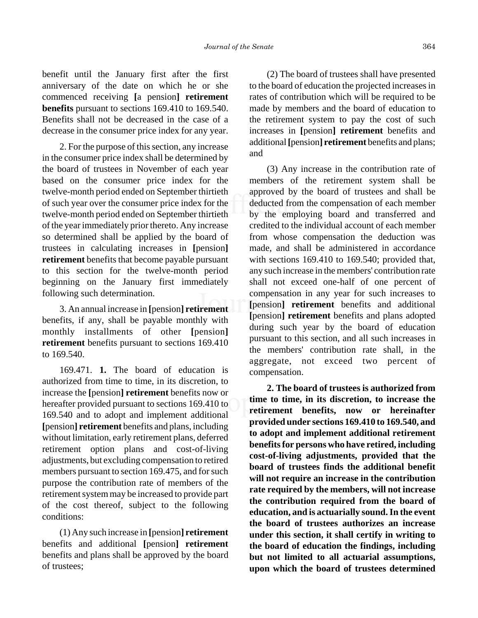benefit until the January first after the first anniversary of the date on which he or she commenced receiving **[**a pension**] retirement benefits** pursuant to sections 169.410 to 169.540. Benefits shall not be decreased in the case of a decrease in the consumer price index for any year.

2. For the purpose of this section, any increase in the consumer price index shall be determined by the board of trustees in November of each year based on the consumer price index for the twelve-month period ended on September thirtieth of such year over the consumer price index for the twelve-month period ended on September thirtieth of the year immediately prior thereto. Any increase so determined shall be applied by the board of trustees in calculating increases in **[**pension**] retirement** benefits that become payable pursuant to this section for the twelve-month period beginning on the January first immediately following such determination.

3. An annual increase in **[**pension**] retirement** benefits, if any, shall be payable monthly with monthly installments of other **[**pension**] retirement** benefits pursuant to sections 169.410 to 169.540.

169.471. **1.** The board of education is authorized from time to time, in its discretion, to increase the **[**pension**] retirement** benefits now or hereafter provided pursuant to sections 169.410 to 169.540 and to adopt and implement additional **[**pension**] retirement** benefits and plans, including without limitation, early retirement plans, deferred retirement option plans and cost-of-living adjustments, but excluding compensation to retired members pursuant to section 169.475, and for such purpose the contribution rate of members of the retirement system may be increased to provide part of the cost thereof, subject to the following conditions:

(1) Any such increase in **[**pension**] retirement** benefits and additional **[**pension**] retirement** benefits and plans shall be approved by the board of trustees;

(2) The board of trustees shall have presented to the board of education the projected increases in rates of contribution which will be required to be made by members and the board of education to the retirement system to pay the cost of such increases in **[**pension**] retirement** benefits and additional **[**pension**] retirement** benefits and plans; and

(3) Any increase in the contribution rate of members of the retirement system shall be approved by the board of trustees and shall be deducted from the compensation of each member by the employing board and transferred and credited to the individual account of each member from whose compensation the deduction was made, and shall be administered in accordance with sections 169.410 to 169.540; provided that, any such increase in the members' contribution rate shall not exceed one-half of one percent of compensation in any year for such increases to **[**pension**] retirement** benefits and additional **[**pension**] retirement** benefits and plans adopted during such year by the board of education pursuant to this section, and all such increases in the members' contribution rate shall, in the aggregate, not exceed two percent of compensation.

**2. The board of trustees is authorized from time to time, in its discretion, to increase the retirement benefits, now or hereinafter provided under sections 169.410 to 169.540, and to adopt and implement additional retirement benefits for persons who have retired, including cost-of-living adjustments, provided that the board of trustees finds the additional benefit will not require an increase in the contribution rate required by the members, will not increase the contribution required from the board of education, and is actuarially sound. In the event the board of trustees authorizes an increase under this section, it shall certify in writing to the board of education the findings, including but not limited to all actuarial assumptions, upon which the board of trustees determined**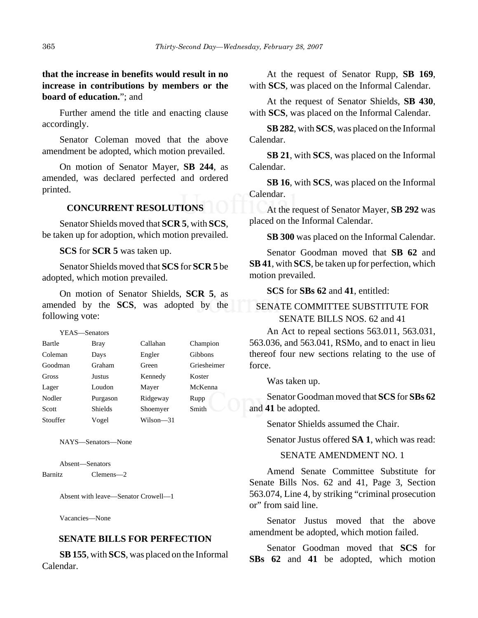# **that the increase in benefits would result in no increase in contributions by members or the board of education.**"; and

Further amend the title and enacting clause accordingly.

Senator Coleman moved that the above amendment be adopted, which motion prevailed.

On motion of Senator Mayer, **SB 244**, as amended, was declared perfected and ordered printed.

# **CONCURRENT RESOLUTIONS**

Senator Shields moved that **SCR 5**, with **SCS**, be taken up for adoption, which motion prevailed.

**SCS** for **SCR 5** was taken up.

Senator Shields moved that **SCS** for **SCR 5** be adopted, which motion prevailed.

On motion of Senator Shields, **SCR 5**, as amended by the **SCS**, was adopted by the following vote:

YEAS—Senators

| Bartle   | <b>Bray</b>    | Callahan  | Champion       |
|----------|----------------|-----------|----------------|
| Coleman  | Days           | Engler    | <b>Gibbons</b> |
| Goodman  | Graham         | Green     | Griesheimer    |
| Gross    | Justus         | Kennedy   | Koster         |
| Lager    | Loudon         | Mayer     | McKenna        |
| Nodler   | Purgason       | Ridgeway  | Rupp           |
| Scott    | <b>Shields</b> | Shoemyer  | Smith          |
| Stouffer | Vogel          | Wilson—31 |                |

NAYS—Senators—None

Absent—Senators

Barnitz Clemens—2

Absent with leave—Senator Crowell—1

Vacancies—None

#### **SENATE BILLS FOR PERFECTION**

**SB 155**, with **SCS**, was placed on the Informal Calendar.

At the request of Senator Rupp, **SB 169**, with **SCS**, was placed on the Informal Calendar.

At the request of Senator Shields, **SB 430**, with **SCS**, was placed on the Informal Calendar.

**SB 282**, with **SCS**, was placed on the Informal Calendar.

**SB 21**, with **SCS**, was placed on the Informal Calendar.

**SB 16**, with **SCS**, was placed on the Informal Calendar.

At the request of Senator Mayer, **SB 292** was placed on the Informal Calendar.

**SB 300** was placed on the Informal Calendar.

Senator Goodman moved that **SB 62** and **SB 41**, with **SCS**, be taken up for perfection, which motion prevailed.

**SCS** for **SBs 62** and **41**, entitled:

# SENATE COMMITTEE SUBSTITUTE FOR SENATE BILLS NOS. 62 and 41

An Act to repeal sections 563.011, 563.031, 563.036, and 563.041, RSMo, and to enact in lieu thereof four new sections relating to the use of force.

Was taken up.

Senator Goodman moved that **SCS** for **SBs 62** and **41** be adopted.

Senator Shields assumed the Chair.

Senator Justus offered **SA 1**, which was read:

SENATE AMENDMENT NO. 1

Amend Senate Committee Substitute for Senate Bills Nos. 62 and 41, Page 3, Section 563.074, Line 4, by striking "criminal prosecution or" from said line.

Senator Justus moved that the above amendment be adopted, which motion failed.

Senator Goodman moved that **SCS** for **SBs 62** and **41** be adopted, which motion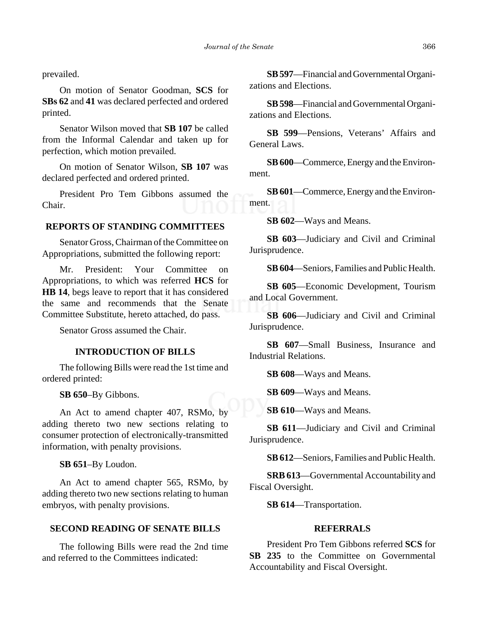prevailed.

On motion of Senator Goodman, **SCS** for **SBs 62** and **41** was declared perfected and ordered printed.

Senator Wilson moved that **SB 107** be called from the Informal Calendar and taken up for perfection, which motion prevailed.

On motion of Senator Wilson, **SB 107** was declared perfected and ordered printed.

President Pro Tem Gibbons assumed the Chair.

#### **REPORTS OF STANDING COMMITTEES**

Senator Gross, Chairman of the Committee on Appropriations, submitted the following report:

Mr. President: Your Committee on Appropriations, to which was referred **HCS** for **HB 14**, begs leave to report that it has considered the same and recommends that the Senate Committee Substitute, hereto attached, do pass.

Senator Gross assumed the Chair.

# **INTRODUCTION OF BILLS**

The following Bills were read the 1st time and ordered printed:

**SB 650**–By Gibbons.

An Act to amend chapter 407, RSMo, by adding thereto two new sections relating to consumer protection of electronically-transmitted information, with penalty provisions.

**SB 651**–By Loudon.

An Act to amend chapter 565, RSMo, by adding thereto two new sections relating to human embryos, with penalty provisions.

# **SECOND READING OF SENATE BILLS**

The following Bills were read the 2nd time and referred to the Committees indicated:

**SB 597**—Financial and Governmental Organizations and Elections.

**SB 598**—Financial and Governmental Organizations and Elections.

**SB 599**—Pensions, Veterans' Affairs and General Laws.

**SB 600**—Commerce, Energy and the Environment.

**SB 601**—Commerce, Energy and the Environment.

**SB 602**—Ways and Means.

**SB 603**—Judiciary and Civil and Criminal Jurisprudence.

**SB 604**—Seniors, Families and Public Health.

**SB 605**—Economic Development, Tourism and Local Government.

**SB 606**—Judiciary and Civil and Criminal Jurisprudence.

**SB 607**—Small Business, Insurance and Industrial Relations.

**SB 608**—Ways and Means.

**SB 609**—Ways and Means.

**SB 610**—Ways and Means.

**SB 611**—Judiciary and Civil and Criminal Jurisprudence.

**SB 612**—Seniors, Families and Public Health.

**SRB 613**—Governmental Accountability and Fiscal Oversight.

**SB 614**—Transportation.

#### **REFERRALS**

President Pro Tem Gibbons referred **SCS** for SB 235 to the Committee on Governmental Accountability and Fiscal Oversight.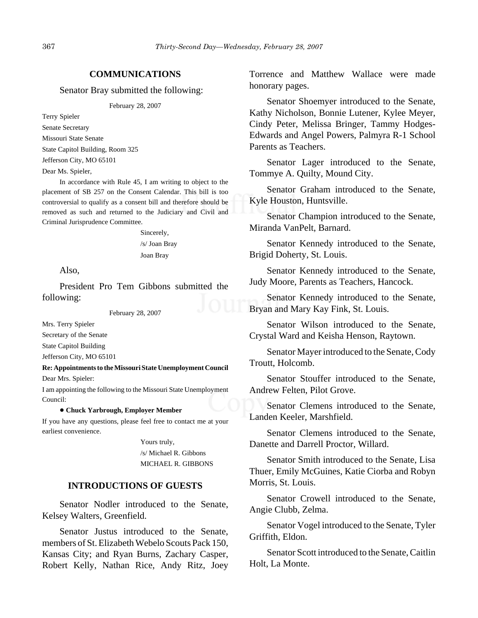#### **COMMUNICATIONS**

Senator Bray submitted the following:

February 28, 2007

Terry Spieler Senate Secretary Missouri State Senate State Capitol Building, Room 325 Jefferson City, MO 65101

Dear Ms. Spieler,

In accordance with Rule 45, I am writing to object to the placement of SB 257 on the Consent Calendar. This bill is too controversial to qualify as a consent bill and therefore should be removed as such and returned to the Judiciary and Civil and Criminal Jurisprudence Committee.

> Sincerely, /s/ Joan Bray Joan Bray

Also,

President Pro Tem Gibbons submitted the following:

February 28, 2007

Mrs. Terry Spieler

Secretary of the Senate

State Capitol Building

Jefferson City, MO 65101

**Re: Appointments to the Missouri State Unemployment Council**

Dear Mrs. Spieler:

I am appointing the following to the Missouri State Unemployment Council:

#### ! **Chuck Yarbrough, Employer Member**

If you have any questions, please feel free to contact me at your earliest convenience.

> Yours truly, /s/ Michael R. Gibbons MICHAEL R. GIBBONS

#### **INTRODUCTIONS OF GUESTS**

Senator Nodler introduced to the Senate, Kelsey Walters, Greenfield.

Senator Justus introduced to the Senate, members of St. Elizabeth Webelo Scouts Pack 150, Kansas City; and Ryan Burns, Zachary Casper, Robert Kelly, Nathan Rice, Andy Ritz, Joey

Torrence and Matthew Wallace were made honorary pages.

Senator Shoemyer introduced to the Senate, Kathy Nicholson, Bonnie Lutener, Kylee Meyer, Cindy Peter, Melissa Bringer, Tammy Hodges-Edwards and Angel Powers, Palmyra R-1 School Parents as Teachers.

Senator Lager introduced to the Senate, Tommye A. Quilty, Mound City.

Senator Graham introduced to the Senate, Kyle Houston, Huntsville.

Senator Champion introduced to the Senate, Miranda VanPelt, Barnard.

Senator Kennedy introduced to the Senate, Brigid Doherty, St. Louis.

Senator Kennedy introduced to the Senate, Judy Moore, Parents as Teachers, Hancock.

Senator Kennedy introduced to the Senate, Bryan and Mary Kay Fink, St. Louis.

Senator Wilson introduced to the Senate, Crystal Ward and Keisha Henson, Raytown.

Senator Mayer introduced to the Senate, Cody Troutt, Holcomb.

Senator Stouffer introduced to the Senate, Andrew Felten, Pilot Grove.

Senator Clemens introduced to the Senate, Landen Keeler, Marshfield.

Senator Clemens introduced to the Senate, Danette and Darrell Proctor, Willard.

Senator Smith introduced to the Senate, Lisa Thuer, Emily McGuines, Katie Ciorba and Robyn Morris, St. Louis.

Senator Crowell introduced to the Senate, Angie Clubb, Zelma.

Senator Vogel introduced to the Senate, Tyler Griffith, Eldon.

Senator Scott introduced to the Senate, Caitlin Holt, La Monte.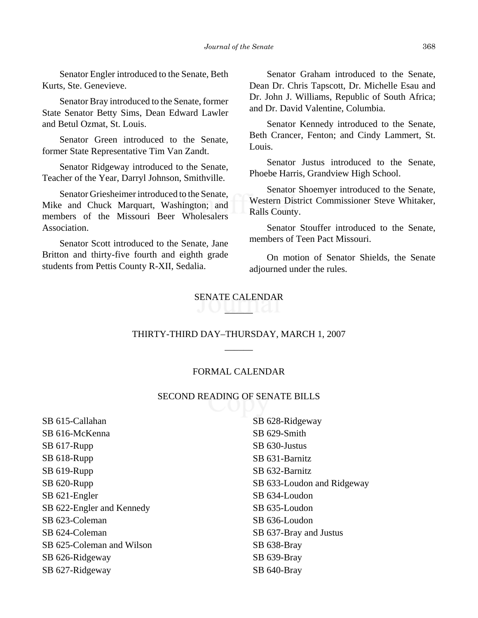Senator Engler introduced to the Senate, Beth Kurts, Ste. Genevieve.

Senator Bray introduced to the Senate, former State Senator Betty Sims, Dean Edward Lawler and Betul Ozmat, St. Louis.

Senator Green introduced to the Senate, former State Representative Tim Van Zandt.

Senator Ridgeway introduced to the Senate, Teacher of the Year, Darryl Johnson, Smithville.

Senator Griesheimer introduced to the Senate, Mike and Chuck Marquart, Washington; and members of the Missouri Beer Wholesalers Association.

Senator Scott introduced to the Senate, Jane Britton and thirty-five fourth and eighth grade students from Pettis County R-XII, Sedalia.

Senator Graham introduced to the Senate, Dean Dr. Chris Tapscott, Dr. Michelle Esau and Dr. John J. Williams, Republic of South Africa; and Dr. David Valentine, Columbia.

Senator Kennedy introduced to the Senate, Beth Crancer, Fenton; and Cindy Lammert, St. Louis.

Senator Justus introduced to the Senate, Phoebe Harris, Grandview High School.

Senator Shoemyer introduced to the Senate, Western District Commissioner Steve Whitaker, Ralls County.

Senator Stouffer introduced to the Senate, members of Teen Pact Missouri.

On motion of Senator Shields, the Senate adjourned under the rules.

# SENATE CALENDAR

# THIRTY-THIRD DAY–THURSDAY, MARCH 1, 2007 \_\_\_\_\_\_

#### FORMAL CALENDAR

#### SECOND READING OF SENATE BILLS

SB 615-Callahan SB 616-McKenna SB 617-Rupp SB 618-Rupp SB 619-Rupp SB 620-Rupp SB 621-Engler SB 622-Engler and Kennedy SB 623-Coleman SB 624-Coleman SB 625-Coleman and Wilson SB 626-Ridgeway SB 627-Ridgeway

SB 628-Ridgeway SB 629-Smith SB 630-Justus SB 631-Barnitz SB 632-Barnitz SB 633-Loudon and Ridgeway SB 634-Loudon SB 635-Loudon SB 636-Loudon SB 637-Bray and Justus SB 638-Bray SB 639-Bray SB 640-Bray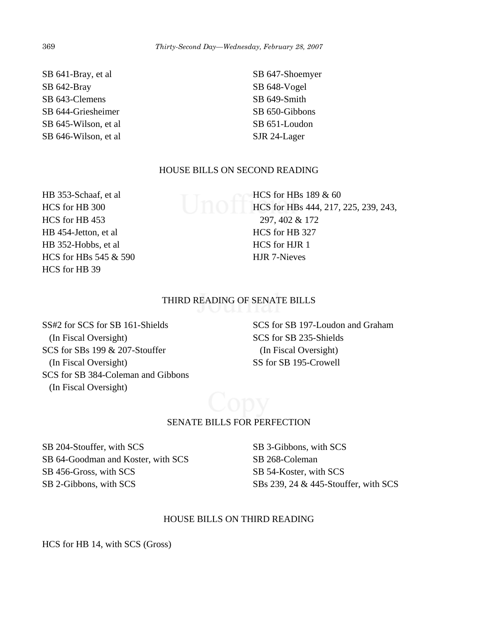SB 641-Bray, et al SB 642-Bray SB 643-Clemens SB 644-Griesheimer SB 645-Wilson, et al SB 646-Wilson, et al

SB 647-Shoemyer SB 648-Vogel SB 649-Smith SB 650-Gibbons SB 651-Loudon SJR 24-Lager

# HOUSE BILLS ON SECOND READING

HB 353-Schaaf, et al HCS for HB 300 HCS for HB 453 HB 454-Jetton, et al HB 352-Hobbs, et al HCS for HBs 545 & 590 HCS for HB 39

HCS for HBs 189 & 60 HCS for HBs 444, 217, 225, 239, 243, 297, 402 & 172 HCS for HB 327 HCS for HJR 1 HJR 7-Nieves

# THIRD READING OF SENATE BILLS

SS#2 for SCS for SB 161-Shields (In Fiscal Oversight) SCS for SBs 199 & 207-Stouffer (In Fiscal Oversight) SCS for SB 384-Coleman and Gibbons (In Fiscal Oversight)

SCS for SB 197-Loudon and Graham SCS for SB 235-Shields (In Fiscal Oversight) SS for SB 195-Crowell

# SENATE BILLS FOR PERFECTION

SB 204-Stouffer, with SCS SB 64-Goodman and Koster, with SCS SB 456-Gross, with SCS SB 2-Gibbons, with SCS

SB 3-Gibbons, with SCS SB 268-Coleman SB 54-Koster, with SCS SBs 239, 24 & 445-Stouffer, with SCS

#### HOUSE BILLS ON THIRD READING

HCS for HB 14, with SCS (Gross)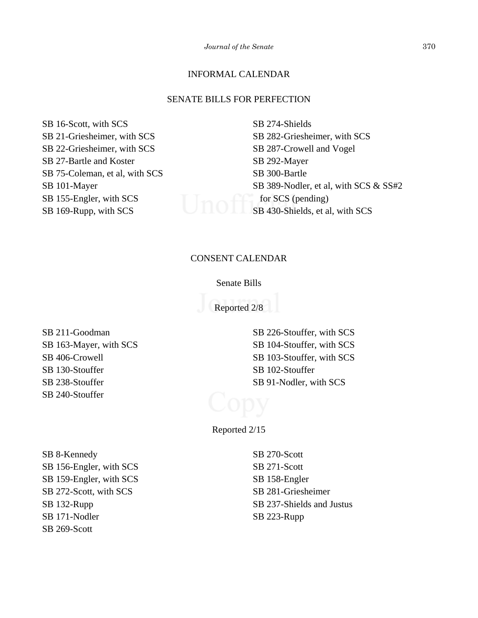# INFORMAL CALENDAR

#### SENATE BILLS FOR PERFECTION

SB 16-Scott, with SCS SB 21-Griesheimer, with SCS SB 22-Griesheimer, with SCS SB 27-Bartle and Koster SB 75-Coleman, et al, with SCS SB 101-Mayer SB 155-Engler, with SCS SB 169-Rupp, with SCS

SB 274-Shields SB 282-Griesheimer, with SCS SB 287-Crowell and Vogel SB 292-Mayer SB 300-Bartle SB 389-Nodler, et al, with SCS & SS#2 for SCS (pending) SB 430-Shields, et al, with SCS

# CONSENT CALENDAR

#### Senate Bills

Reported 2/8

SB 211-Goodman SB 163-Mayer, with SCS SB 406-Crowell SB 130-Stouffer SB 238-Stouffer SB 240-Stouffer

SB 226-Stouffer, with SCS SB 104-Stouffer, with SCS SB 103-Stouffer, with SCS SB 102-Stouffer SB 91-Nodler, with SCS

Reported 2/15

SB 8-Kennedy SB 156-Engler, with SCS SB 159-Engler, with SCS SB 272-Scott, with SCS SB 132-Rupp SB 171-Nodler SB 269-Scott

SB 270-Scott SB 271-Scott SB 158-Engler SB 281-Griesheimer SB 237-Shields and Justus SB 223-Rupp